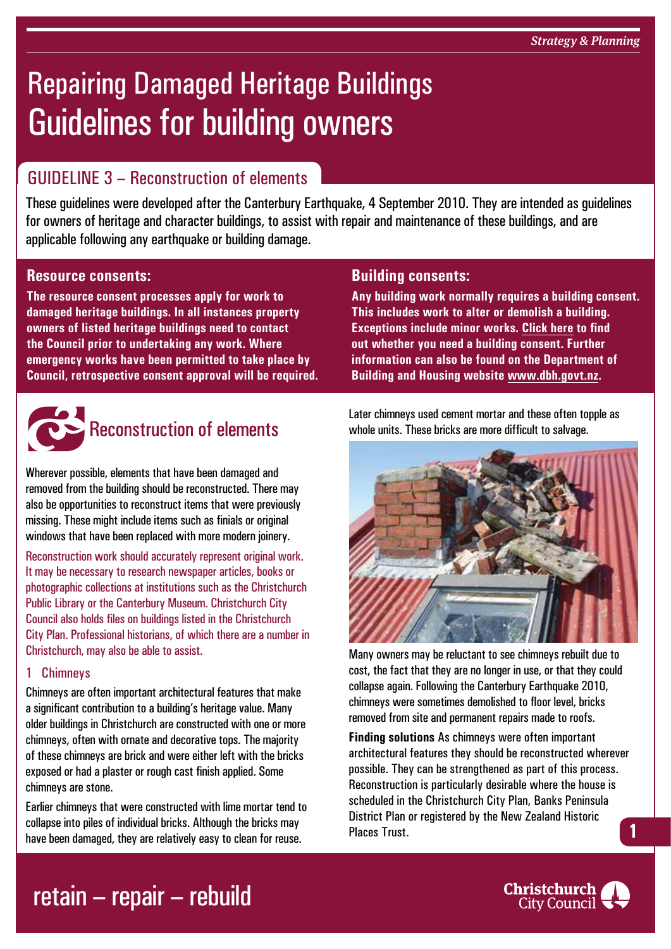# Repairing Damaged Heritage Buildings Guidelines for building owners

#### GUIDELINE 3 – Reconstruction of elements

These guidelines were developed after the Canterbury Earthquake, 4 September 2010. They are intended as guidelines for owners of heritage and character buildings, to assist with repair and maintenance of these buildings, and are applicable following any earthquake or building damage.

#### **Resource consents:**

**The resource consent processes apply for work to damaged heritage buildings. In all instances property owners of listed heritage buildings need to contact the Council prior to undertaking any work. Where emergency works have been permitted to take place by Council, retrospective consent approval will be required.**



### **Reconstruction of elements**

Wherever possible, elements that have been damaged and removed from the building should be reconstructed. There may also be opportunities to reconstruct items that were previously missing. These might include items such as finials or original windows that have been replaced with more modern joinery.

Reconstruction work should accurately represent original work. It may be necessary to research newspaper articles, books or photographic collections at institutions such as the Christchurch Public Library or the Canterbury Museum. Christchurch City Council also holds files on buildings listed in the Christchurch City Plan. Professional historians, of which there are a number in Christchurch, may also be able to assist.

#### 1 Chimneys

Chimneys are often important architectural features that make a significant contribution to a building's heritage value. Many older buildings in Christchurch are constructed with one or more chimneys, often with ornate and decorative tops. The majority of these chimneys are brick and were either left with the bricks exposed or had a plaster or rough cast finish applied. Some chimneys are stone.

Earlier chimneys that were constructed with lime mortar tend to collapse into piles of individual bricks. Although the bricks may have been damaged, they are relatively easy to clean for reuse.

#### **Building consents:**

**Any building work normally requires a building consent. This includes work to alter or demolish a building. Exceptions include minor works. [Click here](http://www.ccc.govt.nz/homeliving/buildingplanning/buildingconsents/index.aspx) to find out whether you need a building consent. Further information can also be found on the Department of Building and Housing website [www.dbh.govt.nz](http://www.dbh.govt.nz).**

Later chimneys used cement mortar and these often topple as whole units. These bricks are more difficult to salvage.



Many owners may be reluctant to see chimneys rebuilt due to cost, the fact that they are no longer in use, or that they could collapse again. Following the Canterbury Earthquake 2010, chimneys were sometimes demolished to floor level, bricks removed from site and permanent repairs made to roofs.

**Finding solutions** As chimneys were often important architectural features they should be reconstructed wherever possible. They can be strengthened as part of this process. Reconstruction is particularly desirable where the house is scheduled in the Christchurch City Plan, Banks Peninsula District Plan or registered by the New Zealand Historic Places Trust. **1**

### retain – repair – rebuild

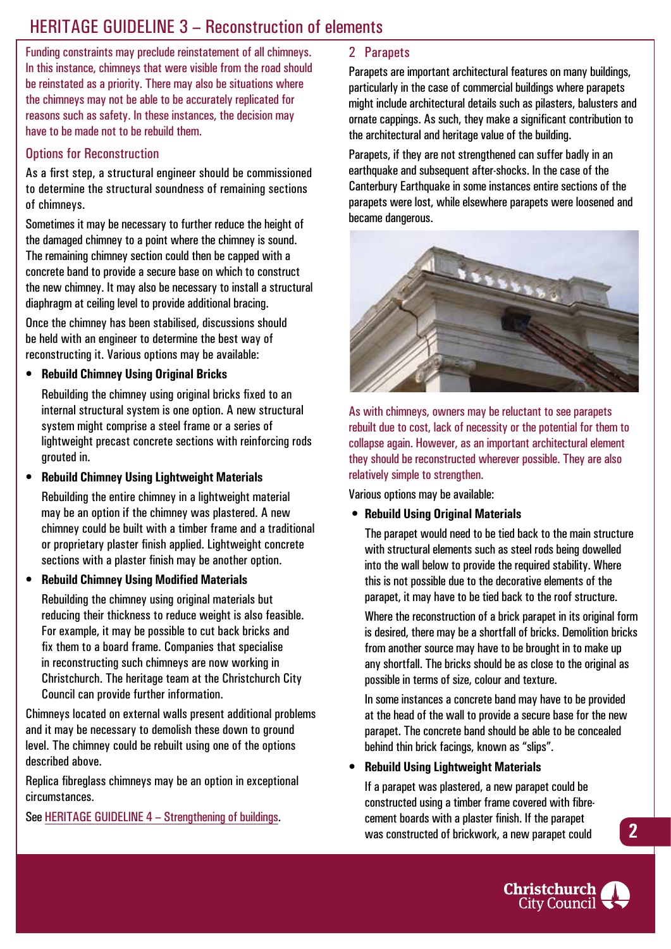#### HERITAGE GUIDELINE 3 - Reconstruction of elements

Funding constraints may preclude reinstatement of all chimneys. In this instance, chimneys that were visible from the road should be reinstated as a priority. There may also be situations where the chimneys may not be able to be accurately replicated for reasons such as safety. In these instances, the decision may have to be made not to be rebuild them.

#### Options for Reconstruction

As a first step, a structural engineer should be commissioned to determine the structural soundness of remaining sections of chimneys.

Sometimes it may be necessary to further reduce the height of the damaged chimney to a point where the chimney is sound. The remaining chimney section could then be capped with a concrete band to provide a secure base on which to construct the new chimney. It may also be necessary to install a structural diaphragm at ceiling level to provide additional bracing.

Once the chimney has been stabilised, discussions should be held with an engineer to determine the best way of reconstructing it. Various options may be available:

**• Rebuild Chimney Using Original Bricks** 

Rebuilding the chimney using original bricks fixed to an internal structural system is one option. A new structural system might comprise a steel frame or a series of lightweight precast concrete sections with reinforcing rods grouted in.

**• Rebuild Chimney Using Lightweight Materials** 

Rebuilding the entire chimney in a lightweight material may be an option if the chimney was plastered. A new chimney could be built with a timber frame and a traditional or proprietary plaster finish applied. Lightweight concrete sections with a plaster finish may be another option.

**• Rebuild Chimney Using Modified Materials**

Rebuilding the chimney using original materials but reducing their thickness to reduce weight is also feasible. For example, it may be possible to cut back bricks and fix them to a board frame. Companies that specialise in reconstructing such chimneys are now working in Christchurch. The heritage team at the Christchurch City Council can provide further information.

Chimneys located on external walls present additional problems and it may be necessary to demolish these down to ground level. The chimney could be rebuilt using one of the options described above.

Replica fibreglass chimneys may be an option in exceptional circumstances.

See HERITAGE GUIDELINE 4 – Strengthening of buildings.

#### 2 Parapets

Parapets are important architectural features on many buildings, particularly in the case of commercial buildings where parapets might include architectural details such as pilasters, balusters and ornate cappings. As such, they make a significant contribution to the architectural and heritage value of the building.

Parapets, if they are not strengthened can suffer badly in an earthquake and subsequent after-shocks. In the case of the Canterbury Earthquake in some instances entire sections of the parapets were lost, while elsewhere parapets were loosened and became dangerous.



As with chimneys, owners may be reluctant to see parapets rebuilt due to cost, lack of necessity or the potential for them to collapse again. However, as an important architectural element they should be reconstructed wherever possible. They are also relatively simple to strengthen.

Various options may be available:

 **• Rebuild Using Original Materials** 

The parapet would need to be tied back to the main structure with structural elements such as steel rods being dowelled into the wall below to provide the required stability. Where this is not possible due to the decorative elements of the parapet, it may have to be tied back to the roof structure.

Where the reconstruction of a brick parapet in its original form is desired, there may be a shortfall of bricks. Demolition bricks from another source may have to be brought in to make up any shortfall. The bricks should be as close to the original as possible in terms of size, colour and texture.

In some instances a concrete band may have to be provided at the head of the wall to provide a secure base for the new parapet. The concrete band should be able to be concealed behind thin brick facings, known as "slips".

#### **• Rebuild Using Lightweight Materials**

If a parapet was plastered, a new parapet could be constructed using a timber frame covered with fibrecement boards with a plaster finish. If the parapet was constructed of brickwork, a new parapet could